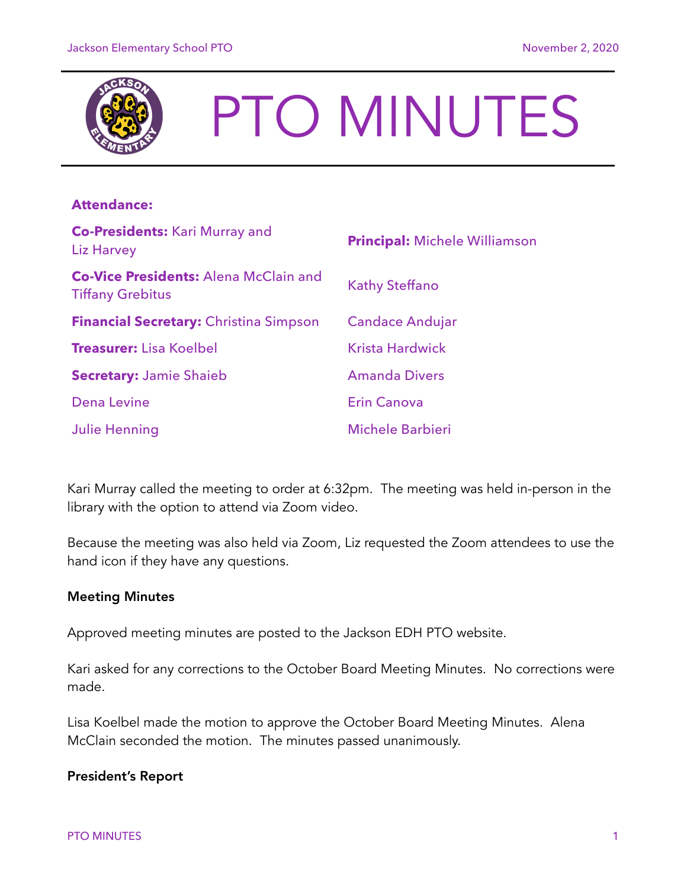

# PTO MINUTES

# **Attendance:**

| <b>Co-Presidents: Kari Murray and</b><br>Liz Harvey                     | <b>Principal: Michele Williamson</b> |
|-------------------------------------------------------------------------|--------------------------------------|
| <b>Co-Vice Presidents: Alena McClain and</b><br><b>Tiffany Grebitus</b> | <b>Kathy Steffano</b>                |
| <b>Financial Secretary:</b> Christina Simpson                           | <b>Candace Andujar</b>               |
| <b>Treasurer:</b> Lisa Koelbel                                          | <b>Krista Hardwick</b>               |
| <b>Secretary: Jamie Shaieb</b>                                          | <b>Amanda Divers</b>                 |
| <b>Dena Levine</b>                                                      | <b>Erin Canova</b>                   |
| <b>Julie Henning</b>                                                    | <b>Michele Barbieri</b>              |

Kari Murray called the meeting to order at 6:32pm. The meeting was held in-person in the library with the option to attend via Zoom video.

Because the meeting was also held via Zoom, Liz requested the Zoom attendees to use the hand icon if they have any questions.

### Meeting Minutes

Approved meeting minutes are posted to the Jackson EDH PTO website.

Kari asked for any corrections to the October Board Meeting Minutes. No corrections were made.

Lisa Koelbel made the motion to approve the October Board Meeting Minutes. Alena McClain seconded the motion. The minutes passed unanimously.

### President's Report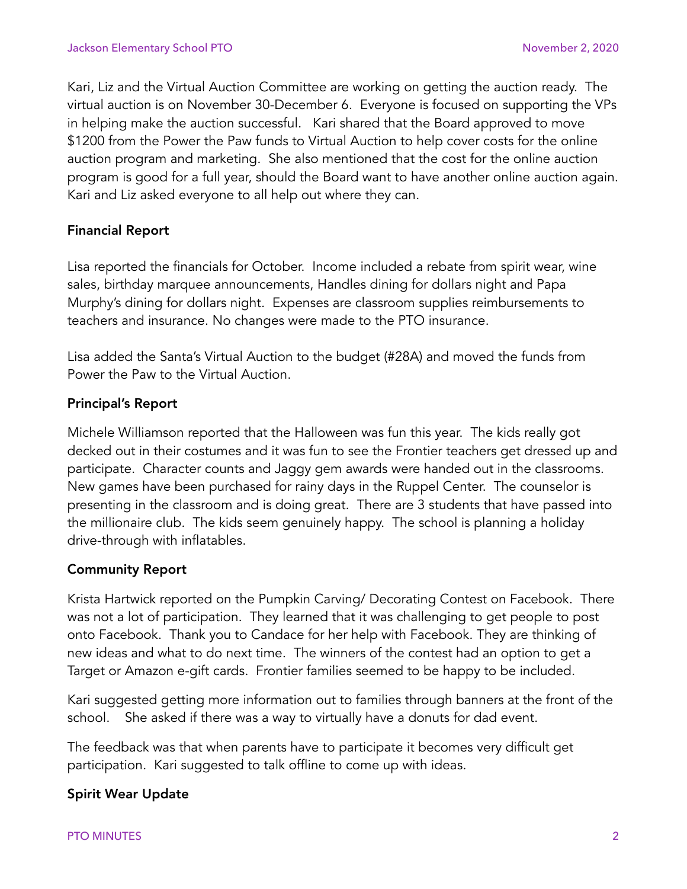Kari, Liz and the Virtual Auction Committee are working on getting the auction ready. The virtual auction is on November 30-December 6. Everyone is focused on supporting the VPs in helping make the auction successful. Kari shared that the Board approved to move \$1200 from the Power the Paw funds to Virtual Auction to help cover costs for the online auction program and marketing. She also mentioned that the cost for the online auction program is good for a full year, should the Board want to have another online auction again. Kari and Liz asked everyone to all help out where they can.

# Financial Report

Lisa reported the financials for October. Income included a rebate from spirit wear, wine sales, birthday marquee announcements, Handles dining for dollars night and Papa Murphy's dining for dollars night. Expenses are classroom supplies reimbursements to teachers and insurance. No changes were made to the PTO insurance.

Lisa added the Santa's Virtual Auction to the budget (#28A) and moved the funds from Power the Paw to the Virtual Auction.

### Principal's Report

Michele Williamson reported that the Halloween was fun this year. The kids really got decked out in their costumes and it was fun to see the Frontier teachers get dressed up and participate. Character counts and Jaggy gem awards were handed out in the classrooms. New games have been purchased for rainy days in the Ruppel Center. The counselor is presenting in the classroom and is doing great. There are 3 students that have passed into the millionaire club. The kids seem genuinely happy. The school is planning a holiday drive-through with inflatables.

### Community Report

Krista Hartwick reported on the Pumpkin Carving/ Decorating Contest on Facebook. There was not a lot of participation. They learned that it was challenging to get people to post onto Facebook. Thank you to Candace for her help with Facebook. They are thinking of new ideas and what to do next time. The winners of the contest had an option to get a Target or Amazon e-gift cards. Frontier families seemed to be happy to be included.

Kari suggested getting more information out to families through banners at the front of the school. She asked if there was a way to virtually have a donuts for dad event.

The feedback was that when parents have to participate it becomes very difficult get participation. Kari suggested to talk offline to come up with ideas.

### Spirit Wear Update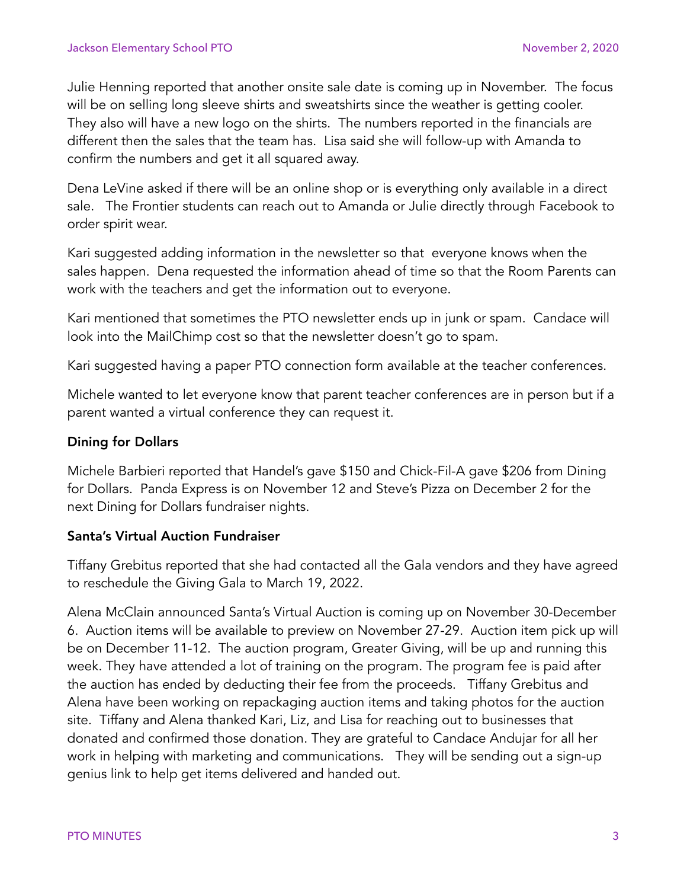Julie Henning reported that another onsite sale date is coming up in November. The focus will be on selling long sleeve shirts and sweatshirts since the weather is getting cooler. They also will have a new logo on the shirts. The numbers reported in the financials are different then the sales that the team has. Lisa said she will follow-up with Amanda to confirm the numbers and get it all squared away.

Dena LeVine asked if there will be an online shop or is everything only available in a direct sale. The Frontier students can reach out to Amanda or Julie directly through Facebook to order spirit wear.

Kari suggested adding information in the newsletter so that everyone knows when the sales happen. Dena requested the information ahead of time so that the Room Parents can work with the teachers and get the information out to everyone.

Kari mentioned that sometimes the PTO newsletter ends up in junk or spam. Candace will look into the MailChimp cost so that the newsletter doesn't go to spam.

Kari suggested having a paper PTO connection form available at the teacher conferences.

Michele wanted to let everyone know that parent teacher conferences are in person but if a parent wanted a virtual conference they can request it.

## Dining for Dollars

Michele Barbieri reported that Handel's gave \$150 and Chick-Fil-A gave \$206 from Dining for Dollars. Panda Express is on November 12 and Steve's Pizza on December 2 for the next Dining for Dollars fundraiser nights.

### Santa's Virtual Auction Fundraiser

Tiffany Grebitus reported that she had contacted all the Gala vendors and they have agreed to reschedule the Giving Gala to March 19, 2022.

Alena McClain announced Santa's Virtual Auction is coming up on November 30-December 6. Auction items will be available to preview on November 27-29. Auction item pick up will be on December 11-12. The auction program, Greater Giving, will be up and running this week. They have attended a lot of training on the program. The program fee is paid after the auction has ended by deducting their fee from the proceeds. Tiffany Grebitus and Alena have been working on repackaging auction items and taking photos for the auction site. Tiffany and Alena thanked Kari, Liz, and Lisa for reaching out to businesses that donated and confirmed those donation. They are grateful to Candace Andujar for all her work in helping with marketing and communications. They will be sending out a sign-up genius link to help get items delivered and handed out.